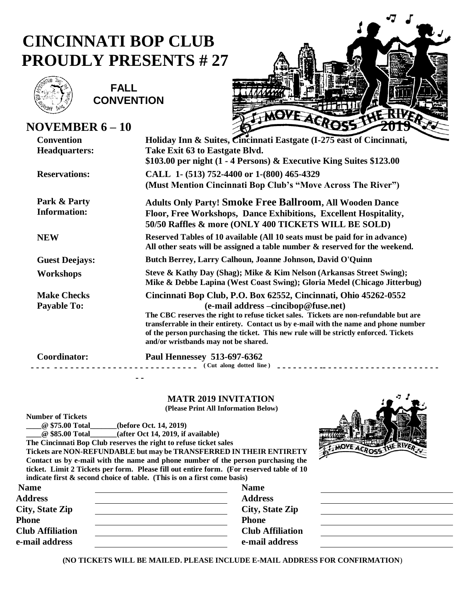## **CINCINNATI BOP CLUB PROUDLY PRESENTS # 27**



**NOVEMBER 6 – 10 2019**

 **FALL CONVENTION**



| <b>Convention</b>     | Holiday Inn & Suites, Cincinnati Eastgate (I-275 east of Cincinnati,                                                                                                                                                                                                                                                                                  |
|-----------------------|-------------------------------------------------------------------------------------------------------------------------------------------------------------------------------------------------------------------------------------------------------------------------------------------------------------------------------------------------------|
| <b>Headquarters:</b>  | Take Exit 63 to Eastgate Blvd.                                                                                                                                                                                                                                                                                                                        |
|                       | $$103.00$ per night (1 - 4 Persons) & Executive King Suites $$123.00$                                                                                                                                                                                                                                                                                 |
| <b>Reservations:</b>  | CALL 1- (513) 752-4400 or 1-(800) 465-4329                                                                                                                                                                                                                                                                                                            |
|                       | (Must Mention Cincinnati Bop Club's "Move Across The River")                                                                                                                                                                                                                                                                                          |
| Park & Party          | <b>Adults Only Party! Smoke Free Ballroom, All Wooden Dance</b>                                                                                                                                                                                                                                                                                       |
| <b>Information:</b>   | Floor, Free Workshops, Dance Exhibitions, Excellent Hospitality,<br>50/50 Raffles & more (ONLY 400 TICKETS WILL BE SOLD)                                                                                                                                                                                                                              |
| <b>NEW</b>            | Reserved Tables of 10 available (All 10 seats must be paid for in advance)<br>All other seats will be assigned a table number & reserved for the weekend.                                                                                                                                                                                             |
| <b>Guest Deejays:</b> | Butch Berrey, Larry Calhoun, Joanne Johnson, David O'Quinn                                                                                                                                                                                                                                                                                            |
| Workshops             | Steve & Kathy Day (Shag); Mike & Kim Nelson (Arkansas Street Swing);<br>Mike & Debbe Lapina (West Coast Swing); Gloria Medel (Chicago Jitterbug)                                                                                                                                                                                                      |
| <b>Make Checks</b>    | Cincinnati Bop Club, P.O. Box 62552, Cincinnati, Ohio 45262-0552                                                                                                                                                                                                                                                                                      |
| <b>Payable To:</b>    | (e-mail address -cincibop@fuse.net)<br>The CBC reserves the right to refuse ticket sales. Tickets are non-refundable but are<br>transferrable in their entirety. Contact us by e-mail with the name and phone number<br>of the person purchasing the ticket. This new rule will be strictly enforced. Tickets<br>and/or wristbands may not be shared. |
| Coordinator:          | Paul Hennessey 513-697-6362<br>Cut along dotted line)                                                                                                                                                                                                                                                                                                 |

 **MATR 2019 INVITATION (Please Print All Information Below)**

**Number of Tickets**

**\_\_\_\_@ \$75.00 Total\_\_\_\_\_\_\_(before Oct. 14, 2019)**

**\_\_\_\_@ \$85.00 Total\_\_\_\_\_\_\_(after Oct 14, 2019, if available)**

**The Cincinnati Bop Club reserves the right to refuse ticket sales**

**Tickets are NON-REFUNDABLE but may be TRANSFERRED IN THEIR ENTIRETY Contact us by e-mail with the name and phone number of the person purchasing the ticket. Limit 2 Tickets per form. Please fill out entire form. (For reserved table of 10** 

| indicate first $\&$ second choice of table. (This is on a first come basis) |                         |  |
|-----------------------------------------------------------------------------|-------------------------|--|
| <b>Name</b>                                                                 | <b>Name</b>             |  |
| <b>Address</b>                                                              | <b>Address</b>          |  |
| <b>City, State Zip</b>                                                      | <b>City, State Zip</b>  |  |
| Phone                                                                       | <b>Phone</b>            |  |
| <b>Club Affiliation</b>                                                     | <b>Club Affiliation</b> |  |
| e-mail address                                                              | e-mail address          |  |
|                                                                             |                         |  |

**(NO TICKETS WILL BE MAILED. PLEASE INCLUDE E-MAIL ADDRESS FOR CONFIRMATION**)